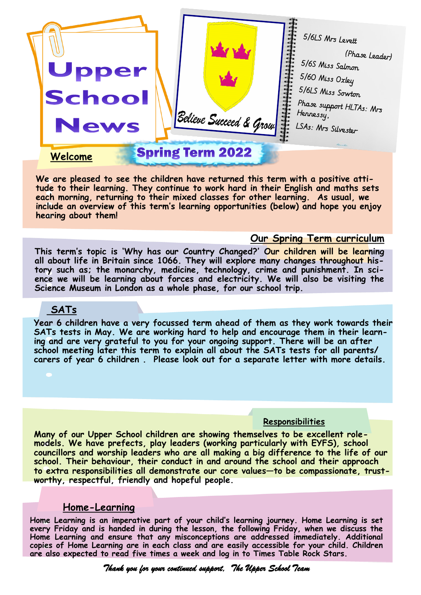

**We are pleased to see the children have returned this term with a positive attitude to their learning. They continue to work hard in their English and maths sets each morning, returning to their mixed classes for other learning. As usual, we include an overview of this term's learning opportunities (below) and hope you enjoy hearing about them!**

#### **Our Spring Term curriculum**

**This term's topic is 'Why has our Country Changed?' Our children will be learning all about life in Britain since 1066. They will explore many changes throughout history such as; the monarchy, medicine, technology, crime and punishment. In science we will be learning about forces and electricity. We will also be visiting the Science Museum in London as a whole phase, for our school trip.** 

### **SATs**

**Year 6 children have a very focussed term ahead of them as they work towards their SATs tests in May. We are working hard to help and encourage them in their learning and are very grateful to you for your ongoing support. There will be an after school meeting later this term to explain all about the SATs tests for all parents/ carers of year 6 children . Please look out for a separate letter with more details.** 

#### **Responsibilities**

**Many of our Upper School children are showing themselves to be excellent rolemodels. We have prefects, play leaders (working particularly with EYFS), school councillors and worship leaders who are all making a big difference to the life of our school. Their behaviour, their conduct in and around the school and their approach to extra responsibilities all demonstrate our core values—to be compassionate, trustworthy, respectful, friendly and hopeful people.** 

### **Home-Learning**

**Home Learning is an imperative part of your child's learning journey. Home Learning is set every Friday and is handed in during the lesson, the following Friday, when we discuss the Home Learning and ensure that any misconceptions are addressed immediately. Additional copies of Home Learning are in each class and are easily accessible for your child. Children are also expected to read five times a week and log in to Times Table Rock Stars.**